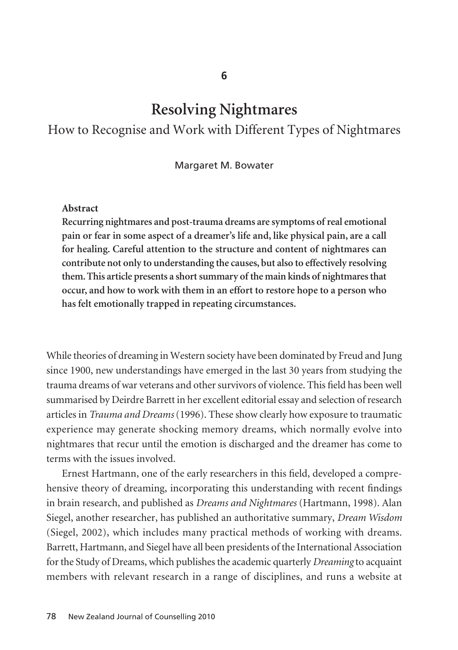# **Resolving Nightmares**

# How to Recognise and Work with Different Types of Nightmares

Margaret M. Bowater

#### **Abstract**

**Recurring nightmares and post-trauma dreams are symptoms of real emotional pain or fear in some aspect of a dreamer's life and, like physical pain, are a call for healing. Careful attention to the structure and content of nightmares can contribute not only to understanding the causes, but also to effectively resolving them. This article presents a short summary of the main kinds of nightmares that occur, and how to work with them in an effort to restore hope to a person who has felt emotionally trapped in repeating circumstances.**

While theories of dreaming in Western society have been dominated by Freud and Jung since 1900, new understandings have emerged in the last 30 years from studying the trauma dreams of war veterans and other survivors of violence. This field has been well summarised by Deirdre Barrett in her excellent editorial essay and selection of research articles in *Trauma and Dreams* (1996). These show clearly how exposure to traumatic experience may generate shocking memory dreams, which normally evolve into nightmares that recur until the emotion is discharged and the dreamer has come to terms with the issues involved.

Ernest Hartmann, one of the early researchers in this field, developed a comprehensive theory of dreaming, incorporating this understanding with recent findings in brain research, and published as *Dreams and Nightmares* (Hartmann, 1998). Alan Siegel, another researcher, has published an authoritative summary, *Dream Wisdom* (Siegel, 2002), which includes many practical methods of working with dreams. Barrett, Hartmann, and Siegel have all been presidents of the International Association for the Study of Dreams, which publishes the academic quarterly *Dreaming* to acquaint members with relevant research in a range of disciplines, and runs a website at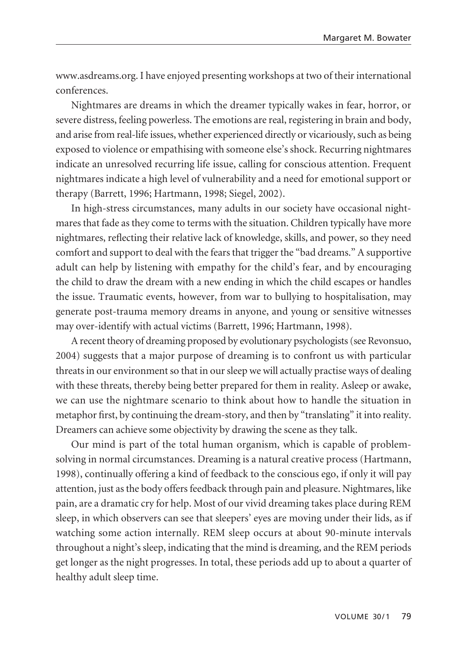www.asdreams.org. I have enjoyed presenting workshops at two of their international conferences.

Nightmares are dreams in which the dreamer typically wakes in fear, horror, or severe distress, feeling powerless. The emotions are real, registering in brain and body, and arise from real-life issues, whether experienced directly or vicariously, such as being exposed to violence or empathising with someone else's shock. Recurring nightmares indicate an unresolved recurring life issue, calling for conscious attention. Frequent nightmares indicate a high level of vulnerability and a need for emotional support or therapy (Barrett, 1996; Hartmann, 1998; Siegel, 2002).

In high-stress circumstances, many adults in our society have occasional nightmares that fade as they come to terms with the situation. Children typically have more nightmares, reflecting their relative lack of knowledge, skills, and power, so they need comfort and support to deal with the fears that trigger the "bad dreams." A supportive adult can help by listening with empathy for the child's fear, and by encouraging the child to draw the dream with a new ending in which the child escapes or handles the issue. Traumatic events, however, from war to bullying to hospitalisation, may generate post-trauma memory dreams in anyone, and young or sensitive witnesses may over-identify with actual victims (Barrett, 1996; Hartmann, 1998).

A recent theory of dreaming proposed by evolutionary psychologists (see Revonsuo, 2004) suggests that a major purpose of dreaming is to confront us with particular threats in our environment so that in our sleep we will actually practise ways of dealing with these threats, thereby being better prepared for them in reality. Asleep or awake, we can use the nightmare scenario to think about how to handle the situation in metaphor first, by continuing the dream-story, and then by "translating" it into reality. Dreamers can achieve some objectivity by drawing the scene as they talk.

Our mind is part of the total human organism, which is capable of problemsolving in normal circumstances. Dreaming is a natural creative process (Hartmann, 1998), continually offering a kind of feedback to the conscious ego, if only it will pay attention, just as the body offers feedback through pain and pleasure. Nightmares, like pain, are a dramatic cry for help. Most of our vivid dreaming takes place during REM sleep, in which observers can see that sleepers' eyes are moving under their lids, as if watching some action internally. REM sleep occurs at about 90-minute intervals throughout a night's sleep, indicating that the mind is dreaming, and the REM periods get longer as the night progresses. In total, these periods add up to about a quarter of healthy adult sleep time.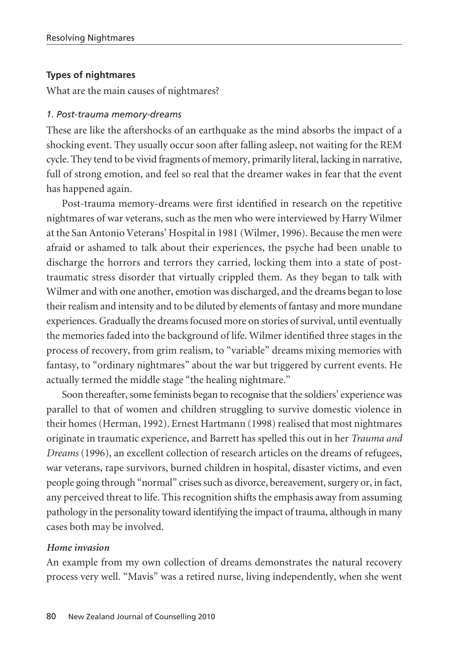### **Types of nightmares**

What are the main causes of nightmares?

#### *1. Post-trauma memory-dreams*

These are like the aftershocks of an earthquake as the mind absorbs the impact of a shocking event. They usually occur soon after falling asleep, not waiting for the REM cycle. They tend to be vivid fragments of memory, primarily literal, lacking in narrative, full of strong emotion, and feel so real that the dreamer wakes in fear that the event has happened again.

Post-trauma memory-dreams were first identified in research on the repetitive nightmares of war veterans, such as the men who were interviewed by Harry Wilmer at the San Antonio Veterans' Hospital in 1981 (Wilmer, 1996). Because the men were afraid or ashamed to talk about their experiences, the psyche had been unable to discharge the horrors and terrors they carried, locking them into a state of posttraumatic stress disorder that virtually crippled them. As they began to talk with Wilmer and with one another, emotion was discharged, and the dreams began to lose their realism and intensity and to be diluted by elements of fantasy and more mundane experiences. Gradually the dreams focused more on stories of survival, until eventually the memories faded into the background of life. Wilmer identified three stages in the process of recovery, from grim realism, to "variable" dreams mixing memories with fantasy, to "ordinary nightmares" about the war but triggered by current events. He actually termed the middle stage "the healing nightmare."

Soon thereafter, some feminists began to recognise that the soldiers' experience was parallel to that of women and children struggling to survive domestic violence in their homes (Herman, 1992). Ernest Hartmann (1998) realised that most nightmares originate in traumatic experience, and Barrett has spelled this out in her *Trauma and Dreams* (1996), an excellent collection of research articles on the dreams of refugees, war veterans, rape survivors, burned children in hospital, disaster victims, and even people going through "normal" crises such as divorce, bereavement, surgery or, in fact, any perceived threat to life. This recognition shifts the emphasis away from assuming pathology in the personality toward identifying the impact of trauma, although in many cases both may be involved.

#### *Home invasion*

An example from my own collection of dreams demonstrates the natural recovery process very well. "Mavis" was a retired nurse, living independently, when she went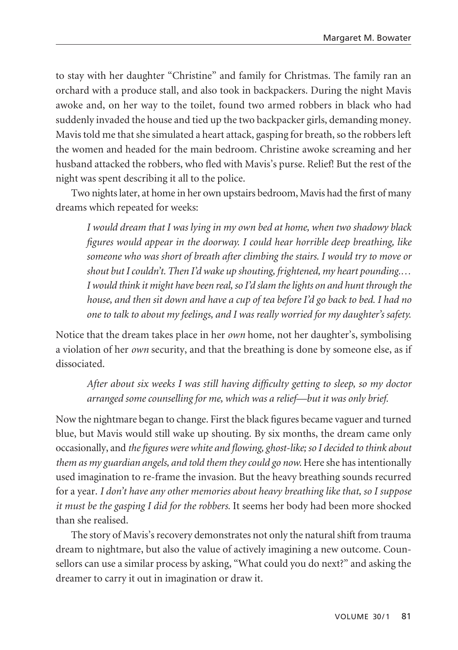to stay with her daughter "Christine" and family for Christmas. The family ran an orchard with a produce stall, and also took in backpackers. During the night Mavis awoke and, on her way to the toilet, found two armed robbers in black who had suddenly invaded the house and tied up the two backpacker girls, demanding money. Mavis told me that she simulated a heart attack, gasping for breath, so the robbers left the women and headed for the main bedroom. Christine awoke screaming and her husband attacked the robbers, who fled with Mavis's purse. Relief! But the rest of the night was spent describing it all to the police.

Two nights later, at home in her own upstairs bedroom, Mavis had the first of many dreams which repeated for weeks:

*I would dream that I was lying in my own bed at home, when two shadowy black figures would appear in the doorway. I could hear horrible deep breathing, like someone who was short of breath after climbing the stairs. I would try to move or shout but I couldn't. Then I'd wake up shouting, frightened, my heart pounding.… I would think it might have been real, so I'd slam the lights on and hunt through the house, and then sit down and have a cup of tea before I'd go back to bed. I had no one to talk to about my feelings, and I was really worried for my daughter's safety.* 

Notice that the dream takes place in her *own* home, not her daughter's, symbolising a violation of her *own* security, and that the breathing is done by someone else, as if dissociated.

*After about six weeks I was still having difficulty getting to sleep, so my doctor arranged some counselling for me, which was a relief—but it was only brief.*

Now the nightmare began to change. First the black figures became vaguer and turned blue, but Mavis would still wake up shouting. By six months, the dream came only occasionally, and *the figures were white and flowing, ghost-like; so I decided to think about* them as my guardian angels, and told them they could go now. Here she has intentionally used imagination to re-frame the invasion. But the heavy breathing sounds recurred for a year. *I don't have any other memories about heavy breathing like that, so I suppose it must be the gasping I did for the robbers.* It seems her body had been more shocked than she realised.

The story of Mavis's recovery demonstrates not only the natural shift from trauma dream to nightmare, but also the value of actively imagining a new outcome. Coun sellors can use a similar process by asking, "What could you do next?" and asking the dreamer to carry it out in imagination or draw it.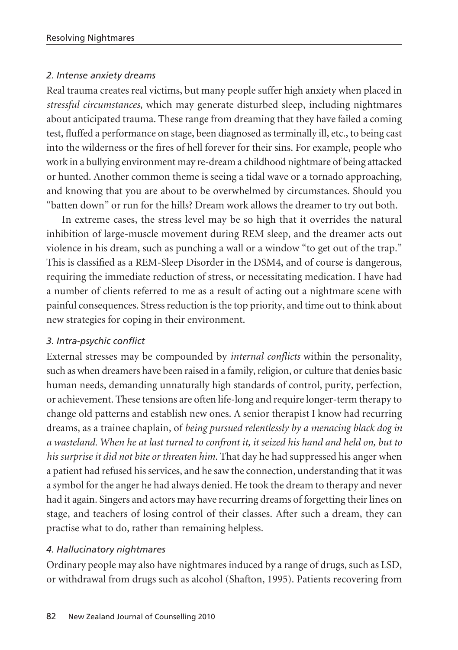#### *2. Intense anxiety dreams*

Real trauma creates real victims, but many people suffer high anxiety when placed in *stressful circumstances*, which may generate disturbed sleep, including nightmares about anticipated trauma. These range from dreaming that they have failed a coming test, fluffed a performance on stage, been diagnosed as terminally ill, etc., to being cast into the wilderness or the fires of hell forever for their sins. For example, people who work in a bullying environment may re-dream a childhood nightmare of being attacked or hunted. Another common theme is seeing a tidal wave or a tornado approaching, and knowing that you are about to be overwhelmed by circumstances. Should you "batten down" or run for the hills? Dream work allows the dreamer to try out both.

In extreme cases, the stress level may be so high that it overrides the natural inhibition of large-muscle movement during REM sleep, and the dreamer acts out violence in his dream, such as punching a wall or a window "to get out of the trap." This is classified as a REM-Sleep Disorder in the DSM4, and of course is dangerous, requiring the immediate reduction of stress, or necessitating medication. I have had a number of clients referred to me as a result of acting out a nightmare scene with painful consequences. Stress reduction is the top priority, and time out to think about new strategies for coping in their environment.

### *3. Intra-psychic conflict*

External stresses may be compounded by *internal conflicts* within the personality, such as when dreamers have been raised in a family, religion, or culture that denies basic human needs, demanding unnaturally high standards of control, purity, perfection, or achievement. These tensions are often life-long and require longer-term therapy to change old patterns and establish new ones. A senior therapist I know had recurring dreams, as a trainee chaplain, of *being pursued relentlessly by a menacing black dog in a wasteland. When he at last turned to confront it, it seized his hand and held on, but to his surprise it did not bite or threaten him.* That day he had suppressed his anger when a patient had refused his services, and he saw the connection, understanding that it was a symbol for the anger he had always denied. He took the dream to therapy and never had it again. Singers and actors may have recurring dreams of forgetting their lines on stage, and teachers of losing control of their classes. After such a dream, they can practise what to do, rather than remaining helpless.

## *4. Hallucinatory nightmares*

Ordinary people may also have nightmares induced by a range of drugs, such as LSD, or withdrawal from drugs such as alcohol (Shafton, 1995). Patients recovering from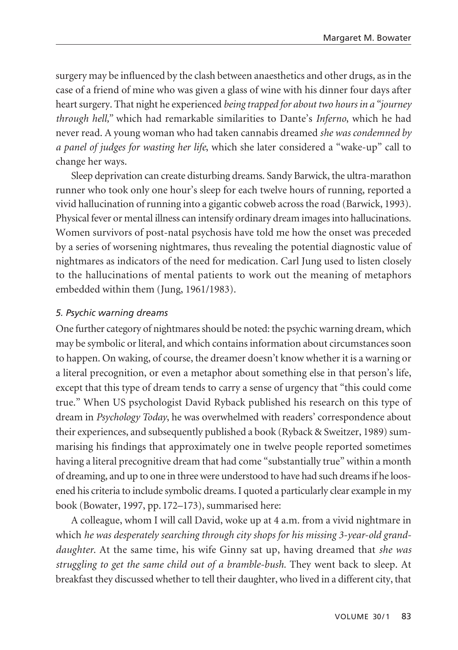surgery may be influenced by the clash between anaesthetics and other drugs, as in the case of a friend of mine who was given a glass of wine with his dinner four days after heart surgery. That night he experienced *being trapped for about two hours in a "journey through hell,"* which had remarkable similarities to Dante's *Inferno*, which he had never read. A young woman who had taken cannabis dreamed *she was condemned by a panel of judges for wasting her life*, which she later considered a "wake-up" call to change her ways.

Sleep deprivation can create disturbing dreams. Sandy Barwick, the ultra-marathon runner who took only one hour's sleep for each twelve hours of running, reported a vivid hallucination of running into a gigantic cobweb across the road (Barwick, 1993). Physical fever or mental illness can intensify ordinary dream images into hallucinations. Women survivors of post-natal psychosis have told me how the onset was preceded by a series of worsening nightmares, thus revealing the potential diagnostic value of nightmares as indicators of the need for medication. Carl Jung used to listen closely to the hallucinations of mental patients to work out the meaning of metaphors embedded within them (Jung, 1961/1983).

### *5. Psychic warning dreams*

One further category of nightmares should be noted: the psychic warning dream, which may be symbolic or literal, and which contains information about circumstances soon to happen. On waking, of course, the dreamer doesn't know whether it is a warning or a literal precognition, or even a metaphor about something else in that person's life, except that this type of dream tends to carry a sense of urgency that "this could come true." When US psychologist David Ryback published his research on this type of dream in *Psychology Today*, he was overwhelmed with readers' correspondence about their experiences, and subsequently published a book (Ryback & Sweitzer, 1989) summarising his findings that approximately one in twelve people reported sometimes having a literal precognitive dream that had come "substantially true" within a month of dreaming, and up to one in three were understood to have had such dreams if he loosened his criteria to include symbolic dreams. I quoted a particularly clear example in my book (Bowater, 1997, pp. 172–173), summarised here:

A colleague, whom I will call David, woke up at 4 a.m. from a vivid nightmare in which *he was desperately searching through city shops for his missing 3-year-old granddaughter*. At the same time, his wife Ginny sat up, having dreamed that *she was struggling to get the same child out of a bramble-bush.* They went back to sleep. At breakfast they discussed whether to tell their daughter, who lived in a different city, that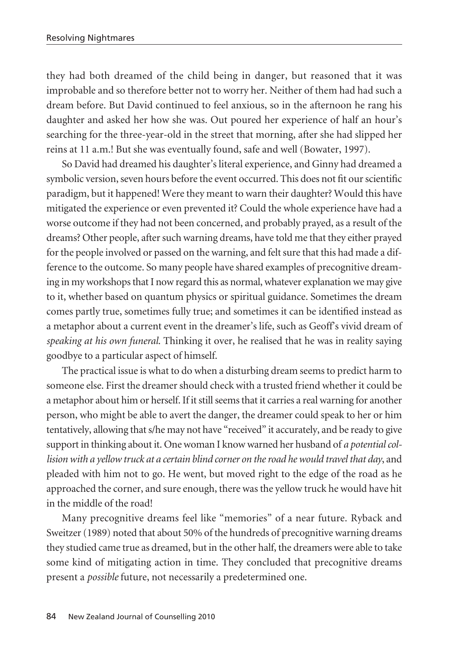they had both dreamed of the child being in danger, but reasoned that it was improbable and so therefore better not to worry her. Neither of them had had such a dream before. But David continued to feel anxious, so in the afternoon he rang his daughter and asked her how she was. Out poured her experience of half an hour's searching for the three-year-old in the street that morning, after she had slipped her reins at 11 a.m.! But she was eventually found, safe and well (Bowater, 1997).

So David had dreamed his daughter's literal experience, and Ginny had dreamed a symbolic version, seven hours before the event occurred. This does not fit our scientific paradigm, but it happened! Were they meant to warn their daughter? Would this have mitigated the experience or even prevented it? Could the whole experience have had a worse outcome if they had not been concerned, and probably prayed, as a result of the dreams? Other people, after such warning dreams, have told me that they either prayed for the people involved or passed on the warning, and felt sure that this had made a difference to the outcome. So many people have shared examples of precognitive dreaming in my workshops that I now regard this as normal, whatever explanation we may give to it, whether based on quantum physics or spiritual guidance. Sometimes the dream comes partly true, sometimes fully true; and sometimes it can be identified instead as a metaphor about a current event in the dreamer's life, such as Geoff's vivid dream of *speaking at his own funeral*. Thinking it over, he realised that he was in reality saying goodbye to a particular aspect of himself.

The practical issue is what to do when a disturbing dream seems to predict harm to someone else. First the dreamer should check with a trusted friend whether it could be a metaphor about him or herself. If it still seems that it carries a real warning for another person, who might be able to avert the danger, the dreamer could speak to her or him tentatively, allowing that s/he may not have "received" it accurately, and be ready to give support in thinking about it. One woman I know warned her husband of *a potential collision with a yellow truck at a certain blind corner on the road he would travel that day*, and pleaded with him not to go. He went, but moved right to the edge of the road as he approached the corner, and sure enough, there was the yellow truck he would have hit in the middle of the road!

Many precognitive dreams feel like "memories" of a near future. Ryback and Sweitzer (1989) noted that about 50% of the hundreds of precognitive warning dreams they studied came true as dreamed, but in the other half, the dreamers were able to take some kind of mitigating action in time. They concluded that precognitive dreams present a *possible* future, not necessarily a predetermined one.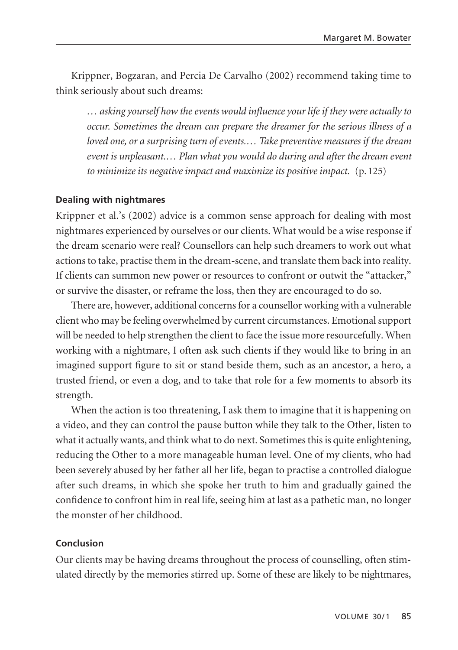Krippner, Bogzaran, and Percia De Carvalho (2002) recommend taking time to think seriously about such dreams:

*… asking yourself how the events would influence your life if they were actually to occur. Sometimes the dream can prepare the dreamer for the serious illness of a loved one, or a surprising turn of events.… Take preventive measures if the dream event is unpleasant.… Plan what you would do during and after the dream event to minimize its negative impact and maximize its positive impact.* (p. 125)

#### **Dealing with nightmares**

Krippner et al.'s (2002) advice is a common sense approach for dealing with most nightmares experienced by ourselves or our clients. What would be a wise response if the dream scenario were real? Counsellors can help such dreamers to work out what actions to take, practise them in the dream-scene, and translate them back into reality. If clients can summon new power or resources to confront or outwit the "attacker," or survive the disaster, or reframe the loss, then they are encouraged to do so.

There are, however, additional concerns for a counsellor working with a vulnerable client who may be feeling overwhelmed by current circumstances. Emotional support will be needed to help strengthen the client to face the issue more resourcefully. When working with a nightmare, I often ask such clients if they would like to bring in an imagined support figure to sit or stand beside them, such as an ancestor, a hero, a trusted friend, or even a dog, and to take that role for a few moments to absorb its strength.

When the action is too threatening, I ask them to imagine that it is happening on a video, and they can control the pause button while they talk to the Other, listen to what it actually wants, and think what to do next. Sometimes this is quite enlightening, reducing the Other to a more manageable human level. One of my clients, who had been severely abused by her father all her life, began to practise a controlled dialogue after such dreams, in which she spoke her truth to him and gradually gained the confidence to confront him in real life, seeing him at last as a pathetic man, no longer the monster of her childhood.

### **Conclusion**

Our clients may be having dreams throughout the process of counselling, often stimulated directly by the memories stirred up. Some of these are likely to be nightmares,